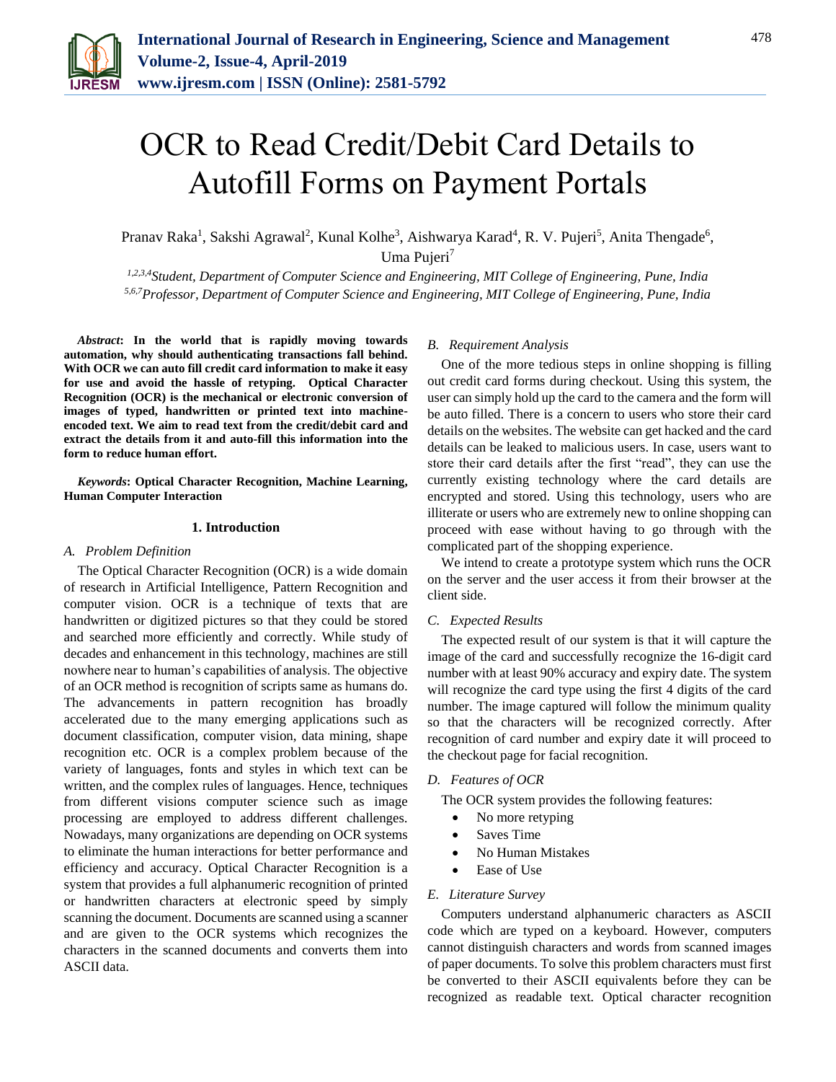

# OCR to Read Credit/Debit Card Details to Autofill Forms on Payment Portals

Pranav Raka<sup>1</sup>, Sakshi Agrawal<sup>2</sup>, Kunal Kolhe<sup>3</sup>, Aishwarya Karad<sup>4</sup>, R. V. Pujeri<sup>5</sup>, Anita Thengade<sup>6</sup>, Uma Pujeri<sup>7</sup>

*1,2,3,4Student, Department of Computer Science and Engineering, MIT College of Engineering, Pune, India 5,6,7Professor, Department of Computer Science and Engineering, MIT College of Engineering, Pune, India*

*Abstract***: In the world that is rapidly moving towards automation, why should authenticating transactions fall behind. With OCR we can auto fill credit card information to make it easy for use and avoid the hassle of retyping. Optical Character Recognition (OCR) is the mechanical or electronic conversion of images of typed, handwritten or printed text into machineencoded text. We aim to read text from the credit/debit card and extract the details from it and auto-fill this information into the form to reduce human effort.**

*Keywords***: Optical Character Recognition, Machine Learning, Human Computer Interaction**

# **1. Introduction**

#### *A. Problem Definition*

The Optical Character Recognition (OCR) is a wide domain of research in Artificial Intelligence, Pattern Recognition and computer vision. OCR is a technique of texts that are handwritten or digitized pictures so that they could be stored and searched more efficiently and correctly. While study of decades and enhancement in this technology, machines are still nowhere near to human's capabilities of analysis. The objective of an OCR method is recognition of scripts same as humans do. The advancements in pattern recognition has broadly accelerated due to the many emerging applications such as document classification, computer vision, data mining, shape recognition etc. OCR is a complex problem because of the variety of languages, fonts and styles in which text can be written, and the complex rules of languages. Hence, techniques from different visions computer science such as image processing are employed to address different challenges. Nowadays, many organizations are depending on OCR systems to eliminate the human interactions for better performance and efficiency and accuracy. Optical Character Recognition is a system that provides a full alphanumeric recognition of printed or handwritten characters at electronic speed by simply scanning the document. Documents are scanned using a scanner and are given to the OCR systems which recognizes the characters in the scanned documents and converts them into ASCII data.

#### *B. Requirement Analysis*

One of the more tedious steps in online shopping is filling out credit card forms during checkout. Using this system, the user can simply hold up the card to the camera and the form will be auto filled. There is a concern to users who store their card details on the websites. The website can get hacked and the card details can be leaked to malicious users. In case, users want to store their card details after the first "read", they can use the currently existing technology where the card details are encrypted and stored. Using this technology, users who are illiterate or users who are extremely new to online shopping can proceed with ease without having to go through with the complicated part of the shopping experience.

We intend to create a prototype system which runs the OCR on the server and the user access it from their browser at the client side.

## *C. Expected Results*

The expected result of our system is that it will capture the image of the card and successfully recognize the 16-digit card number with at least 90% accuracy and expiry date. The system will recognize the card type using the first 4 digits of the card number. The image captured will follow the minimum quality so that the characters will be recognized correctly. After recognition of card number and expiry date it will proceed to the checkout page for facial recognition.

#### *D. Features of OCR*

The OCR system provides the following features:

- No more retyping
- Saves Time
- No Human Mistakes
- Ease of Use

## *E. Literature Survey*

Computers understand alphanumeric characters as ASCII code which are typed on a keyboard. However, computers cannot distinguish characters and words from scanned images of paper documents. To solve this problem characters must first be converted to their ASCII equivalents before they can be recognized as readable text. Optical character recognition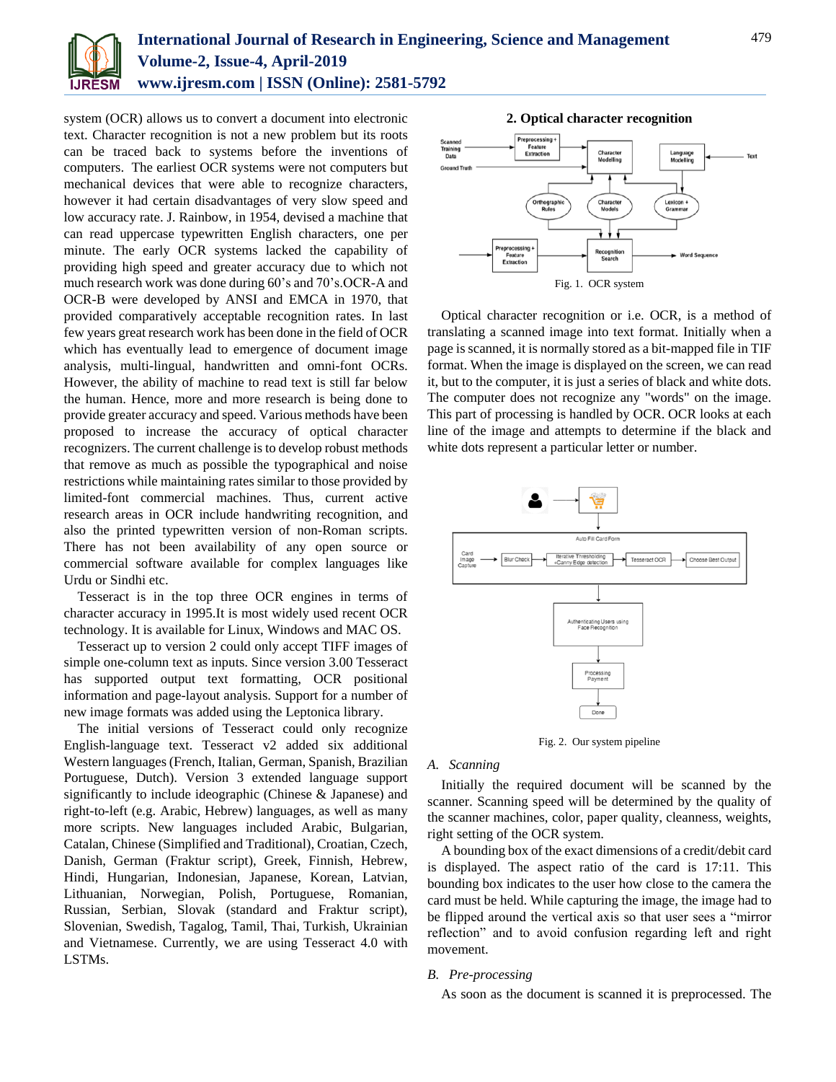

system (OCR) allows us to convert a document into electronic text. Character recognition is not a new problem but its roots can be traced back to systems before the inventions of computers. The earliest OCR systems were not computers but mechanical devices that were able to recognize characters, however it had certain disadvantages of very slow speed and low accuracy rate. J. Rainbow, in 1954, devised a machine that can read uppercase typewritten English characters, one per minute. The early OCR systems lacked the capability of providing high speed and greater accuracy due to which not much research work was done during 60's and 70's.OCR-A and OCR-B were developed by ANSI and EMCA in 1970, that provided comparatively acceptable recognition rates. In last few years great research work has been done in the field of OCR which has eventually lead to emergence of document image analysis, multi-lingual, handwritten and omni-font OCRs. However, the ability of machine to read text is still far below the human. Hence, more and more research is being done to provide greater accuracy and speed. Various methods have been proposed to increase the accuracy of optical character recognizers. The current challenge is to develop robust methods that remove as much as possible the typographical and noise restrictions while maintaining rates similar to those provided by limited-font commercial machines. Thus, current active research areas in OCR include handwriting recognition, and also the printed typewritten version of non-Roman scripts. There has not been availability of any open source or commercial software available for complex languages like Urdu or Sindhi etc.

Tesseract is in the top three OCR engines in terms of character accuracy in 1995.It is most widely used recent OCR technology. It is available for Linux, Windows and MAC OS.

Tesseract up to version 2 could only accept TIFF images of simple one-column text as inputs. Since version 3.00 Tesseract has supported output text formatting, OCR positional information and page-layout analysis. Support for a number of new image formats was added using the Leptonica library.

The initial versions of Tesseract could only recognize English-language text. Tesseract v2 added six additional Western languages (French, Italian, German, Spanish, Brazilian Portuguese, Dutch). Version 3 extended language support significantly to include ideographic (Chinese & Japanese) and right-to-left (e.g. Arabic, Hebrew) languages, as well as many more scripts. New languages included Arabic, Bulgarian, Catalan, Chinese (Simplified and Traditional), Croatian, Czech, Danish, German (Fraktur script), Greek, Finnish, Hebrew, Hindi, Hungarian, Indonesian, Japanese, Korean, Latvian, Lithuanian, Norwegian, Polish, Portuguese, Romanian, Russian, Serbian, Slovak (standard and Fraktur script), Slovenian, Swedish, Tagalog, Tamil, Thai, Turkish, Ukrainian and Vietnamese. Currently, we are using Tesseract 4.0 with LSTMs.



Optical character recognition or i.e. OCR, is a method of translating a scanned image into text format. Initially when a page is scanned, it is normally stored as a bit-mapped file in TIF format. When the image is displayed on the screen, we can read it, but to the computer, it is just a series of black and white dots. The computer does not recognize any "words" on the image. This part of processing is handled by OCR. OCR looks at each line of the image and attempts to determine if the black and white dots represent a particular letter or number.

Fig. 1. OCR system



Fig. 2. Our system pipeline

*A. Scanning*

Initially the required document will be scanned by the scanner. Scanning speed will be determined by the quality of the scanner machines, color, paper quality, cleanness, weights, right setting of the OCR system.

A bounding box of the exact dimensions of a credit/debit card is displayed. The aspect ratio of the card is 17:11. This bounding box indicates to the user how close to the camera the card must be held. While capturing the image, the image had to be flipped around the vertical axis so that user sees a "mirror reflection" and to avoid confusion regarding left and right movement.

## *B. Pre-processing*

As soon as the document is scanned it is preprocessed. The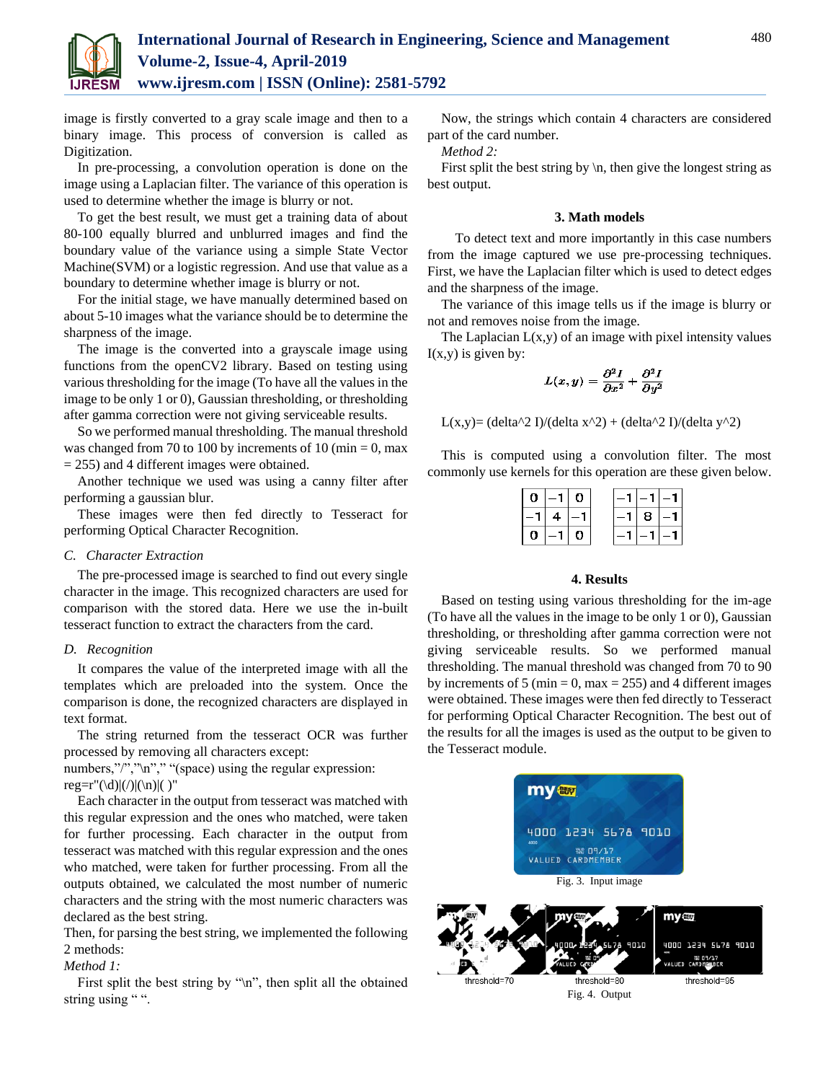

image is firstly converted to a gray scale image and then to a binary image. This process of conversion is called as Digitization.

In pre-processing, a convolution operation is done on the image using a Laplacian filter. The variance of this operation is used to determine whether the image is blurry or not.

To get the best result, we must get a training data of about 80-100 equally blurred and unblurred images and find the boundary value of the variance using a simple State Vector Machine(SVM) or a logistic regression. And use that value as a boundary to determine whether image is blurry or not.

For the initial stage, we have manually determined based on about 5-10 images what the variance should be to determine the sharpness of the image.

The image is the converted into a grayscale image using functions from the openCV2 library. Based on testing using various thresholding for the image (To have all the values in the image to be only 1 or 0), Gaussian thresholding, or thresholding after gamma correction were not giving serviceable results.

So we performed manual thresholding. The manual threshold was changed from 70 to 100 by increments of 10 (min = 0, max = 255) and 4 different images were obtained.

Another technique we used was using a canny filter after performing a gaussian blur.

These images were then fed directly to Tesseract for performing Optical Character Recognition.

## *C. Character Extraction*

The pre-processed image is searched to find out every single character in the image. This recognized characters are used for comparison with the stored data. Here we use the in-built tesseract function to extract the characters from the card.

#### *D. Recognition*

It compares the value of the interpreted image with all the templates which are preloaded into the system. Once the comparison is done, the recognized characters are displayed in text format.

The string returned from the tesseract OCR was further processed by removing all characters except:

numbers,"/",","","" "(space) using the regular expression: reg=r"(\d)|(/)|(\n)|( )"

Each character in the output from tesseract was matched with this regular expression and the ones who matched, were taken for further processing. Each character in the output from tesseract was matched with this regular expression and the ones who matched, were taken for further processing. From all the outputs obtained, we calculated the most number of numeric characters and the string with the most numeric characters was declared as the best string.

Then, for parsing the best string, we implemented the following 2 methods:

#### *Method 1:*

First split the best string by " $\langle n \rangle$ ", then split all the obtained string using "".

Now, the strings which contain 4 characters are considered part of the card number.

*Method 2:*

First split the best string by  $\ln$ , then give the longest string as best output.

## **3. Math models**

To detect text and more importantly in this case numbers from the image captured we use pre-processing techniques. First, we have the Laplacian filter which is used to detect edges and the sharpness of the image.

The variance of this image tells us if the image is blurry or not and removes noise from the image.

The Laplacian  $L(x,y)$  of an image with pixel intensity values  $I(x,y)$  is given by:

$$
L(x,y)=\frac{\partial^2 I}{\partial x^2}+\frac{\partial^2 I}{\partial y^2}
$$

L(x,y)= (delta^2 I)/(delta x^2) + (delta^2 I)/(delta y^2)

This is computed using a convolution filter. The most commonly use kernels for this operation are these given below.

| 0 I- | $-1$   0       |     |  |      |  |
|------|----------------|-----|--|------|--|
| -11  | $\overline{4}$ |     |  | 8  - |  |
| 0.   |                | ΙOΙ |  |      |  |

#### **4. Results**

Based on testing using various thresholding for the im-age (To have all the values in the image to be only 1 or 0), Gaussian thresholding, or thresholding after gamma correction were not giving serviceable results. So we performed manual thresholding. The manual threshold was changed from 70 to 90 by increments of 5 (min =  $0$ , max = 255) and 4 different images were obtained. These images were then fed directly to Tesseract for performing Optical Character Recognition. The best out of the results for all the images is used as the output to be given to the Tesseract module.



Fig. 4. Output